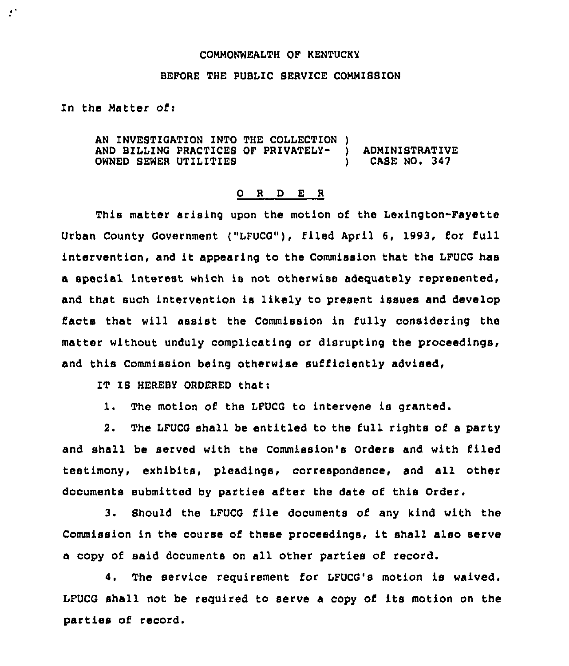## COMMONWEALTH OF KENTUCKY

## BEFORE THE PUBLIC SERVICE COMMISBION

In the Matter of:

 $\mathcal{F}^{\mathcal{A}}$ 

AN INVESTIGATION INTO THE COLLECTION )<br>AND BILLING PRACTICES OF PRIVATELY-AND BILLING PRACTICES OF PRIVATELY- ) ADMINISTRATIVE<br>OWNED SEWER UTILITIES (ASE NO. 347 OWNED SEWER UTILITIES

## 0 <sup>R</sup> <sup>D</sup> E <sup>R</sup>

This matter arising upon the motion of the Lexington-Fayette Urban County Government ("LFUCG"), filed April 6, 1993, for full intervention, and it appearing to the Commission that the LFUCG has a special interest, which is not otherwise adequately represented, and that such intervention is likely to present issues and develop facts that will assist the Commission in fully considering the matter without unduly complicating or disrupting the proceedings, and this Commission being otherwise sufficiently advised,

IT IS HEREBY ORDERED that:

1. The motion of the LFUCG to intervene is granted.

2. The LPUCG shall be entitled to the full rights of a party and shall be served with the Commission's Orders and with filed testimony, exhibits, pleadings, correspondence, and all other documents submitted by parties af'ter the date of this Order.

3. Should the LFUCG file documents of any kind with the Commission in the course of these proceedings, it shall also serve a copy of said documents on all other parties of record.

4. The service requirement for LFUCG's motion is waived. LFUCG shall not be required to serve <sup>a</sup> copy of its motion on the parties of record.